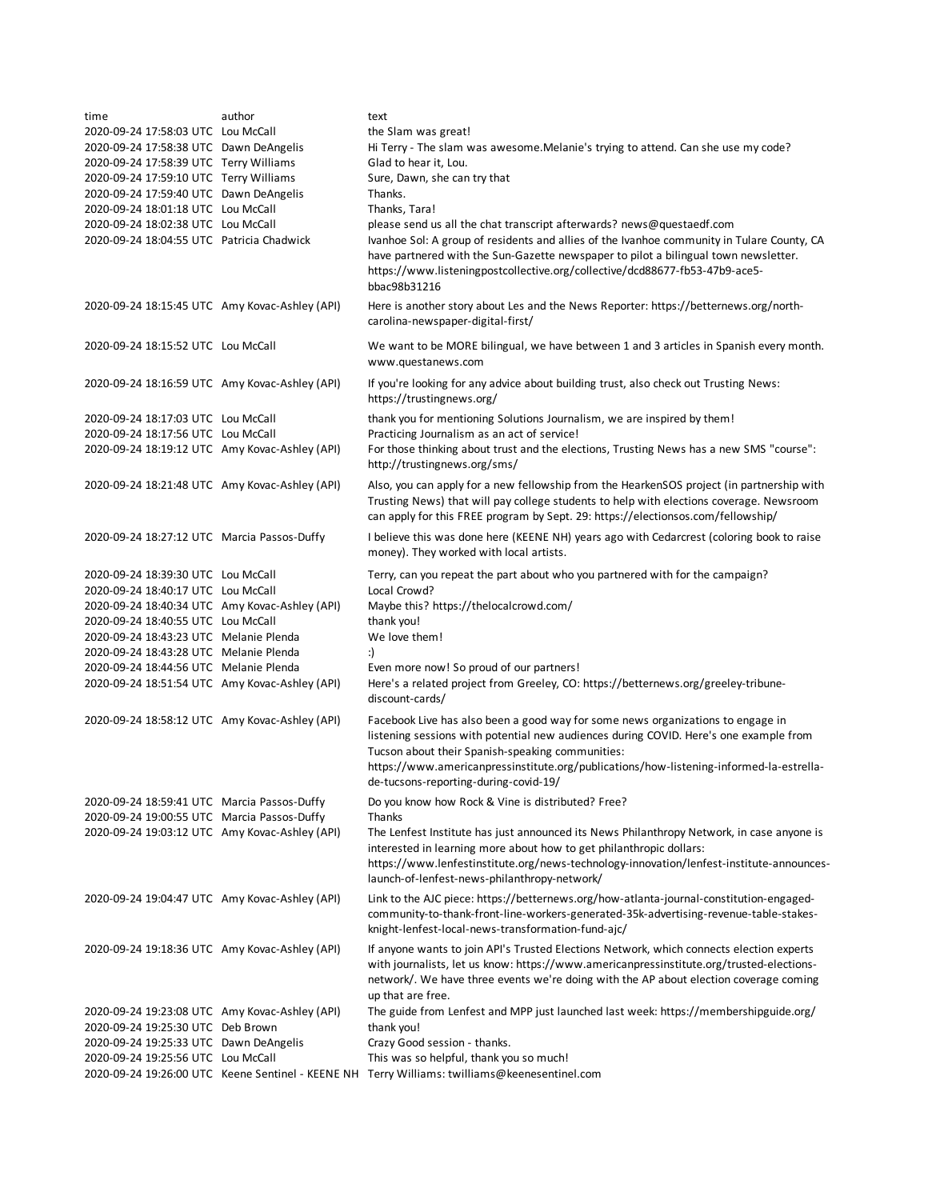| time                                           | author | text                                                                                                                                                                                                                                                                                                                                                             |
|------------------------------------------------|--------|------------------------------------------------------------------------------------------------------------------------------------------------------------------------------------------------------------------------------------------------------------------------------------------------------------------------------------------------------------------|
| 2020-09-24 17:58:03 UTC Lou McCall             |        | the Slam was great!                                                                                                                                                                                                                                                                                                                                              |
| 2020-09-24 17:58:38 UTC Dawn DeAngelis         |        | Hi Terry - The slam was awesome. Melanie's trying to attend. Can she use my code?                                                                                                                                                                                                                                                                                |
| 2020-09-24 17:58:39 UTC Terry Williams         |        | Glad to hear it, Lou.                                                                                                                                                                                                                                                                                                                                            |
| 2020-09-24 17:59:10 UTC Terry Williams         |        | Sure, Dawn, she can try that                                                                                                                                                                                                                                                                                                                                     |
| 2020-09-24 17:59:40 UTC Dawn DeAngelis         |        | Thanks.                                                                                                                                                                                                                                                                                                                                                          |
| 2020-09-24 18:01:18 UTC Lou McCall             |        | Thanks, Tara!                                                                                                                                                                                                                                                                                                                                                    |
| 2020-09-24 18:02:38 UTC Lou McCall             |        | please send us all the chat transcript afterwards? news@questaedf.com                                                                                                                                                                                                                                                                                            |
| 2020-09-24 18:04:55 UTC Patricia Chadwick      |        | Ivanhoe Sol: A group of residents and allies of the Ivanhoe community in Tulare County, CA<br>have partnered with the Sun-Gazette newspaper to pilot a bilingual town newsletter.<br>https://www.listeningpostcollective.org/collective/dcd88677-fb53-47b9-ace5-<br>bbac98b31216                                                                                 |
| 2020-09-24 18:15:45 UTC Amy Kovac-Ashley (API) |        | Here is another story about Les and the News Reporter: https://betternews.org/north-<br>carolina-newspaper-digital-first/                                                                                                                                                                                                                                        |
| 2020-09-24 18:15:52 UTC Lou McCall             |        | We want to be MORE bilingual, we have between 1 and 3 articles in Spanish every month.<br>www.questanews.com                                                                                                                                                                                                                                                     |
| 2020-09-24 18:16:59 UTC Amy Kovac-Ashley (API) |        | If you're looking for any advice about building trust, also check out Trusting News:<br>https://trustingnews.org/                                                                                                                                                                                                                                                |
| 2020-09-24 18:17:03 UTC Lou McCall             |        | thank you for mentioning Solutions Journalism, we are inspired by them!                                                                                                                                                                                                                                                                                          |
| 2020-09-24 18:17:56 UTC Lou McCall             |        | Practicing Journalism as an act of service!                                                                                                                                                                                                                                                                                                                      |
| 2020-09-24 18:19:12 UTC Amy Kovac-Ashley (API) |        | For those thinking about trust and the elections, Trusting News has a new SMS "course":<br>http://trustingnews.org/sms/                                                                                                                                                                                                                                          |
| 2020-09-24 18:21:48 UTC Amy Kovac-Ashley (API) |        | Also, you can apply for a new fellowship from the HearkenSOS project (in partnership with<br>Trusting News) that will pay college students to help with elections coverage. Newsroom<br>can apply for this FREE program by Sept. 29: https://electionsos.com/fellowship/                                                                                         |
| 2020-09-24 18:27:12 UTC Marcia Passos-Duffy    |        | I believe this was done here (KEENE NH) years ago with Cedarcrest (coloring book to raise<br>money). They worked with local artists.                                                                                                                                                                                                                             |
| 2020-09-24 18:39:30 UTC Lou McCall             |        | Terry, can you repeat the part about who you partnered with for the campaign?                                                                                                                                                                                                                                                                                    |
| 2020-09-24 18:40:17 UTC Lou McCall             |        | Local Crowd?                                                                                                                                                                                                                                                                                                                                                     |
| 2020-09-24 18:40:34 UTC Amy Kovac-Ashley (API) |        | Maybe this? https://thelocalcrowd.com/                                                                                                                                                                                                                                                                                                                           |
| 2020-09-24 18:40:55 UTC Lou McCall             |        | thank you!                                                                                                                                                                                                                                                                                                                                                       |
| 2020-09-24 18:43:23 UTC Melanie Plenda         |        | We love them!                                                                                                                                                                                                                                                                                                                                                    |
| 2020-09-24 18:43:28 UTC Melanie Plenda         |        | :)                                                                                                                                                                                                                                                                                                                                                               |
| 2020-09-24 18:44:56 UTC Melanie Plenda         |        | Even more now! So proud of our partners!<br>Here's a related project from Greeley, CO: https://betternews.org/greeley-tribune-                                                                                                                                                                                                                                   |
| 2020-09-24 18:51:54 UTC Amy Kovac-Ashley (API) |        | discount-cards/                                                                                                                                                                                                                                                                                                                                                  |
| 2020-09-24 18:58:12 UTC Amy Kovac-Ashley (API) |        | Facebook Live has also been a good way for some news organizations to engage in<br>listening sessions with potential new audiences during COVID. Here's one example from<br>Tucson about their Spanish-speaking communities:<br>https://www.americanpressinstitute.org/publications/how-listening-informed-la-estrella-<br>de-tucsons-reporting-during-covid-19/ |
| 2020-09-24 18:59:41 UTC Marcia Passos-Duffy    |        | Do you know how Rock & Vine is distributed? Free?                                                                                                                                                                                                                                                                                                                |
| 2020-09-24 19:00:55 UTC Marcia Passos-Duffy    |        | Thanks                                                                                                                                                                                                                                                                                                                                                           |
| 2020-09-24 19:03:12 UTC Amy Kovac-Ashley (API) |        | The Lenfest Institute has just announced its News Philanthropy Network, in case anyone is<br>interested in learning more about how to get philanthropic dollars:<br>https://www.lenfestinstitute.org/news-technology-innovation/lenfest-institute-announces-<br>launch-of-lenfest-news-philanthropy-network/                                                     |
| 2020-09-24 19:04:47 UTC Amy Kovac-Ashley (API) |        | Link to the AJC piece: https://betternews.org/how-atlanta-journal-constitution-engaged-<br>community-to-thank-front-line-workers-generated-35k-advertising-revenue-table-stakes-<br>knight-lenfest-local-news-transformation-fund-ajc/                                                                                                                           |
| 2020-09-24 19:18:36 UTC Amy Kovac-Ashley (API) |        | If anyone wants to join API's Trusted Elections Network, which connects election experts<br>with journalists, let us know: https://www.americanpressinstitute.org/trusted-elections-<br>network/. We have three events we're doing with the AP about election coverage coming<br>up that are free.                                                               |
| 2020-09-24 19:23:08 UTC Amy Kovac-Ashley (API) |        | The guide from Lenfest and MPP just launched last week: https://membershipguide.org/                                                                                                                                                                                                                                                                             |
| 2020-09-24 19:25:30 UTC Deb Brown              |        | thank you!                                                                                                                                                                                                                                                                                                                                                       |
| 2020-09-24 19:25:33 UTC Dawn DeAngelis         |        | Crazy Good session - thanks.                                                                                                                                                                                                                                                                                                                                     |
| 2020-09-24 19:25:56 UTC Lou McCall             |        | This was so helpful, thank you so much!<br>2020-09-24 19:26:00 UTC Keene Sentinel - KEENE NH Terry Williams: twilliams@keenesentinel.com                                                                                                                                                                                                                         |
|                                                |        |                                                                                                                                                                                                                                                                                                                                                                  |